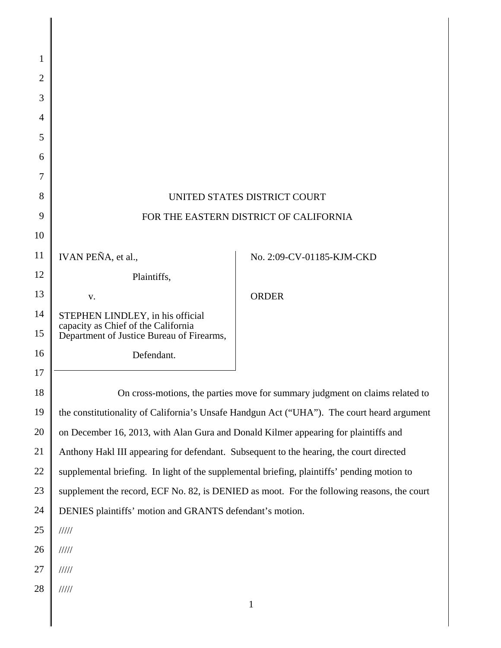| 1              |                                                                                                                      |                                                                                             |
|----------------|----------------------------------------------------------------------------------------------------------------------|---------------------------------------------------------------------------------------------|
| $\overline{2}$ |                                                                                                                      |                                                                                             |
| 3              |                                                                                                                      |                                                                                             |
| $\overline{4}$ |                                                                                                                      |                                                                                             |
| 5              |                                                                                                                      |                                                                                             |
| 6              |                                                                                                                      |                                                                                             |
| 7              |                                                                                                                      |                                                                                             |
| 8              | UNITED STATES DISTRICT COURT                                                                                         |                                                                                             |
| 9              | FOR THE EASTERN DISTRICT OF CALIFORNIA                                                                               |                                                                                             |
| 10             |                                                                                                                      |                                                                                             |
| 11             | IVAN PEÑA, et al.,                                                                                                   | No. 2:09-CV-01185-KJM-CKD                                                                   |
| 12             | Plaintiffs,                                                                                                          |                                                                                             |
| 13             | V.                                                                                                                   | <b>ORDER</b>                                                                                |
| 14<br>15       | STEPHEN LINDLEY, in his official<br>capacity as Chief of the California<br>Department of Justice Bureau of Firearms, |                                                                                             |
| 16             | Defendant.                                                                                                           |                                                                                             |
| 17             |                                                                                                                      |                                                                                             |
| 18             |                                                                                                                      | On cross-motions, the parties move for summary judgment on claims related to                |
| 19             |                                                                                                                      | the constitutionality of California's Unsafe Handgun Act ("UHA"). The court heard argument  |
| 20             | on December 16, 2013, with Alan Gura and Donald Kilmer appearing for plaintiffs and                                  |                                                                                             |
| 21             | Anthony Hakl III appearing for defendant. Subsequent to the hearing, the court directed                              |                                                                                             |
| 22             |                                                                                                                      | supplemental briefing. In light of the supplemental briefing, plaintiffs' pending motion to |
| 23             |                                                                                                                      | supplement the record, ECF No. 82, is DENIED as moot. For the following reasons, the court  |
| 24             | DENIES plaintiffs' motion and GRANTS defendant's motion.                                                             |                                                                                             |
| 25             | 11111                                                                                                                |                                                                                             |
| 26             | 11111                                                                                                                |                                                                                             |
| 27             | 11111                                                                                                                |                                                                                             |
| 28             | 11111                                                                                                                |                                                                                             |
|                |                                                                                                                      | $\mathbf{1}$                                                                                |

 $\begin{array}{c} \hline \end{array}$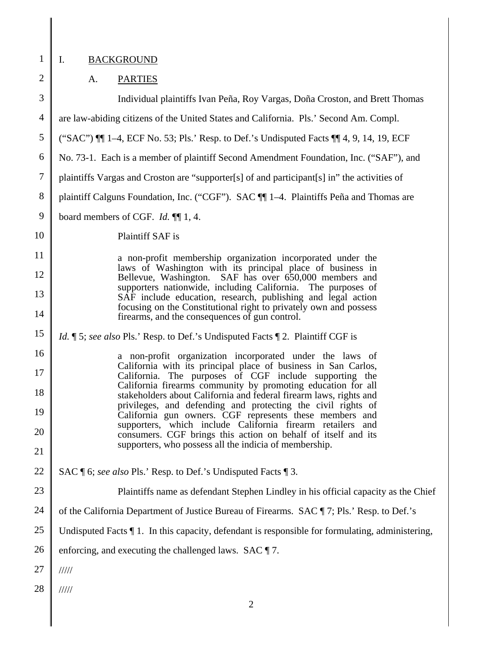1

2

║

# I. BACKGROUND

# A. PARTIES

| 3              | Individual plaintiffs Ivan Peña, Roy Vargas, Doña Croston, and Brett Thomas                                                        |  |
|----------------|------------------------------------------------------------------------------------------------------------------------------------|--|
| $\overline{4}$ | are law-abiding citizens of the United States and California. Pls.' Second Am. Compl.                                              |  |
| 5              | ("SAC") $\P\P$ 1–4, ECF No. 53; Pls.' Resp. to Def.'s Undisputed Facts $\P\P$ 4, 9, 14, 19, ECF                                    |  |
| 6              | No. 73-1. Each is a member of plaintiff Second Amendment Foundation, Inc. ("SAF"), and                                             |  |
| $\overline{7}$ | plaintiffs Vargas and Croston are "supporter[s] of and participant[s] in" the activities of                                        |  |
| 8              | plaintiff Calguns Foundation, Inc. ("CGF"). SAC [1] 1-4. Plaintiffs Peña and Thomas are                                            |  |
| 9              | board members of CGF. <i>Id.</i> $\P$ 1, 4.                                                                                        |  |
| 10             | Plaintiff SAF is                                                                                                                   |  |
| 11             | a non-profit membership organization incorporated under the                                                                        |  |
| 12             | laws of Washington with its principal place of business in<br>Bellevue, Washington. SAF has over 650,000 members and               |  |
| 13             | supporters nationwide, including California. The purposes of<br>SAF include education, research, publishing and legal action       |  |
| 14             | focusing on the Constitutional right to privately own and possess<br>firearms, and the consequences of gun control.                |  |
| 15             | <i>Id.</i> ¶ 5; see also Pls.' Resp. to Def.'s Undisputed Facts ¶ 2. Plaintiff CGF is                                              |  |
| 16             | a non-profit organization incorporated under the laws of<br>California with its principal place of business in San Carlos,         |  |
| 17             | California. The purposes of CGF include supporting the<br>California firearms community by promoting education for all             |  |
| 18             | stakeholders about California and federal firearm laws, rights and<br>privileges, and defending and protecting the civil rights of |  |
| 19             | California gun owners. CGF represents these members and<br>supporters, which include California firearm retailers and              |  |
| 20             | consumers. CGF brings this action on behalf of itself and its<br>supporters, who possess all the indicia of membership.            |  |
| 21             |                                                                                                                                    |  |
| 22             | SAC ¶ 6; see also Pls.' Resp. to Def.'s Undisputed Facts ¶ 3.                                                                      |  |
| 23             | Plaintiffs name as defendant Stephen Lindley in his official capacity as the Chief                                                 |  |
| 24             | of the California Department of Justice Bureau of Firearms. SAC ¶ 7; Pls.' Resp. to Def.'s                                         |  |
| 25             | Undisputed Facts 11. In this capacity, defendant is responsible for formulating, administering,                                    |  |
| 26             | enforcing, and executing the challenged laws. $SAC \parallel 7$ .                                                                  |  |
| 27             | 11111                                                                                                                              |  |
| 28             | 11111                                                                                                                              |  |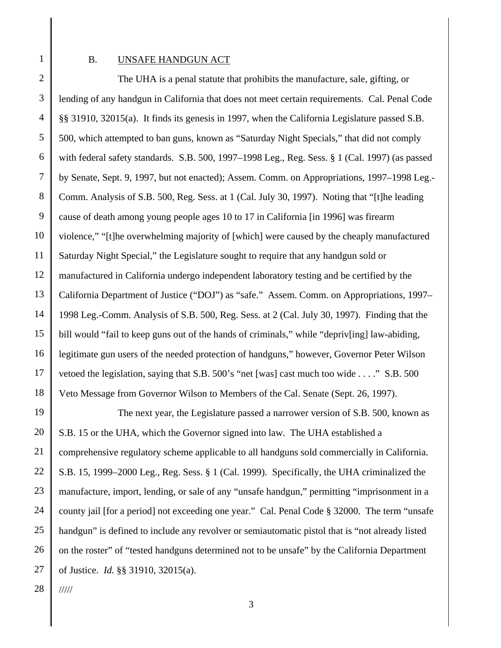1

#### B. UNSAFE HANDGUN ACT

2 3 4 5 6 7 8 9 10 11 12 13 14 15 16 17 18 The UHA is a penal statute that prohibits the manufacture, sale, gifting, or lending of any handgun in California that does not meet certain requirements. Cal. Penal Code §§ 31910, 32015(a). It finds its genesis in 1997, when the California Legislature passed S.B. 500, which attempted to ban guns, known as "Saturday Night Specials," that did not comply with federal safety standards. S.B. 500, 1997–1998 Leg., Reg. Sess. § 1 (Cal. 1997) (as passed by Senate, Sept. 9, 1997, but not enacted); Assem. Comm. on Appropriations, 1997–1998 Leg.- Comm. Analysis of S.B. 500, Reg. Sess. at 1 (Cal. July 30, 1997). Noting that "[t]he leading cause of death among young people ages 10 to 17 in California [in 1996] was firearm violence," "[t]he overwhelming majority of [which] were caused by the cheaply manufactured Saturday Night Special," the Legislature sought to require that any handgun sold or manufactured in California undergo independent laboratory testing and be certified by the California Department of Justice ("DOJ") as "safe." Assem. Comm. on Appropriations, 1997– 1998 Leg.-Comm. Analysis of S.B. 500, Reg. Sess. at 2 (Cal. July 30, 1997). Finding that the bill would "fail to keep guns out of the hands of criminals," while "depriveling] law-abiding, legitimate gun users of the needed protection of handguns," however, Governor Peter Wilson vetoed the legislation, saying that S.B. 500's "net [was] cast much too wide . . . ." S.B. 500 Veto Message from Governor Wilson to Members of the Cal. Senate (Sept. 26, 1997).

19 20 21 22 23 24 25 26 27 The next year, the Legislature passed a narrower version of S.B. 500, known as S.B. 15 or the UHA, which the Governor signed into law. The UHA established a comprehensive regulatory scheme applicable to all handguns sold commercially in California. S.B. 15, 1999–2000 Leg., Reg. Sess. § 1 (Cal. 1999). Specifically, the UHA criminalized the manufacture, import, lending, or sale of any "unsafe handgun," permitting "imprisonment in a county jail [for a period] not exceeding one year." Cal. Penal Code § 32000. The term "unsafe handgun" is defined to include any revolver or semiautomatic pistol that is "not already listed on the roster" of "tested handguns determined not to be unsafe" by the California Department of Justice. *Id.* §§ 31910, 32015(a).

28 /////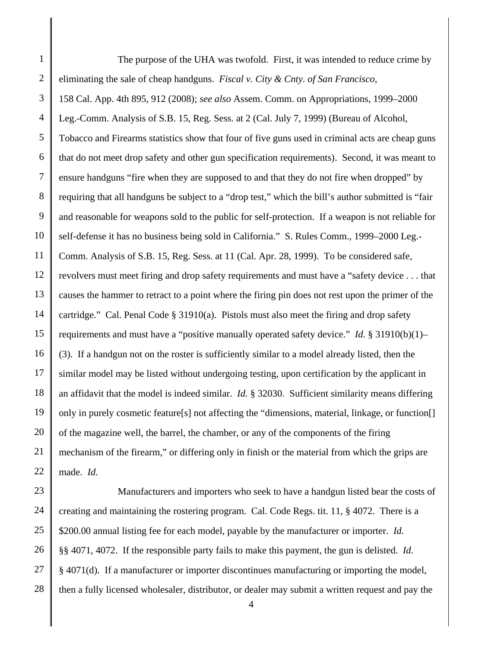1 2 3 4 5 6 7 8 9 10 11 12 13 14 15 16 17 18 19 20 21 22 The purpose of the UHA was twofold. First, it was intended to reduce crime by eliminating the sale of cheap handguns. *Fiscal v. City & Cnty. of San Francisco*, 158 Cal. App. 4th 895, 912 (2008); *see also* Assem. Comm. on Appropriations, 1999–2000 Leg.-Comm. Analysis of S.B. 15, Reg. Sess. at 2 (Cal. July 7, 1999) (Bureau of Alcohol, Tobacco and Firearms statistics show that four of five guns used in criminal acts are cheap guns that do not meet drop safety and other gun specification requirements). Second, it was meant to ensure handguns "fire when they are supposed to and that they do not fire when dropped" by requiring that all handguns be subject to a "drop test," which the bill's author submitted is "fair and reasonable for weapons sold to the public for self-protection. If a weapon is not reliable for self-defense it has no business being sold in California." S. Rules Comm., 1999–2000 Leg.- Comm. Analysis of S.B. 15, Reg. Sess. at 11 (Cal. Apr. 28, 1999). To be considered safe, revolvers must meet firing and drop safety requirements and must have a "safety device . . . that causes the hammer to retract to a point where the firing pin does not rest upon the primer of the cartridge." Cal. Penal Code § 31910(a). Pistols must also meet the firing and drop safety requirements and must have a "positive manually operated safety device." *Id.* § 31910(b)(1)– (3). If a handgun not on the roster is sufficiently similar to a model already listed, then the similar model may be listed without undergoing testing, upon certification by the applicant in an affidavit that the model is indeed similar. *Id.* § 32030. Sufficient similarity means differing only in purely cosmetic feature[s] not affecting the "dimensions, material, linkage, or function[] of the magazine well, the barrel, the chamber, or any of the components of the firing mechanism of the firearm," or differing only in finish or the material from which the grips are made. *Id.* 

23 24 25 26 27 28 Manufacturers and importers who seek to have a handgun listed bear the costs of creating and maintaining the rostering program. Cal. Code Regs. tit. 11, § 4072. There is a \$200.00 annual listing fee for each model, payable by the manufacturer or importer. *Id.* §§ 4071, 4072. If the responsible party fails to make this payment, the gun is delisted. *Id.* § 4071(d). If a manufacturer or importer discontinues manufacturing or importing the model, then a fully licensed wholesaler, distributor, or dealer may submit a written request and pay the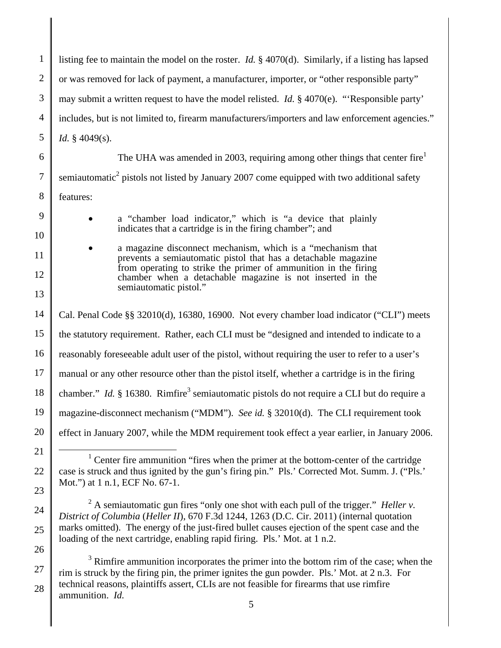1 2 3 4 5 6 7 8 9 10 11 12 13 14 15 16 17 18 19 20 21 22 23 24 25 26 27 listing fee to maintain the model on the roster. *Id.* § 4070(d). Similarly, if a listing has lapsed or was removed for lack of payment, a manufacturer, importer, or "other responsible party" may submit a written request to have the model relisted. *Id.* § 4070(e). "'Responsible party' includes, but is not limited to, firearm manufacturers/importers and law enforcement agencies." *Id.* § 4049(s). The UHA was amended in 2003, requiring among other things that center fire<sup>1</sup> semiautomatic<sup>2</sup> pistols not listed by January 2007 come equipped with two additional safety features: a "chamber load indicator," which is "a device that plainly indicates that a cartridge is in the firing chamber"; and a magazine disconnect mechanism, which is a "mechanism that prevents a semiautomatic pistol that has a detachable magazine from operating to strike the primer of ammunition in the firing chamber when a detachable magazine is not inserted in the semiautomatic pistol." Cal. Penal Code §§ 32010(d), 16380, 16900. Not every chamber load indicator ("CLI") meets the statutory requirement. Rather, each CLI must be "designed and intended to indicate to a reasonably foreseeable adult user of the pistol, without requiring the user to refer to a user's manual or any other resource other than the pistol itself, whether a cartridge is in the firing chamber." *Id.* § 16380. Rimfire<sup>3</sup> semiautomatic pistols do not require a CLI but do require a magazine-disconnect mechanism ("MDM"). *See id.* § 32010(d). The CLI requirement took effect in January 2007, while the MDM requirement took effect a year earlier, in January 2006. <u>1</u>  $1$  Center fire ammunition "fires when the primer at the bottom-center of the cartridge case is struck and thus ignited by the gun's firing pin." Pls.' Corrected Mot. Summ. J. ("Pls.' Mot.") at 1 n.1, ECF No. 67-1. 2 A semiautomatic gun fires "only one shot with each pull of the trigger." *Heller v. District of Columbia* (*Heller II*), 670 F.3d 1244, 1263 (D.C. Cir. 2011) (internal quotation marks omitted). The energy of the just-fired bullet causes ejection of the spent case and the loading of the next cartridge, enabling rapid firing. Pls.' Mot. at 1 n.2.  $3$  Rimfire ammunition incorporates the primer into the bottom rim of the case; when the

rim is struck by the firing pin, the primer ignites the gun powder. Pls.' Mot. at 2 n.3. For technical reasons, plaintiffs assert, CLIs are not feasible for firearms that use rimfire ammunition. *Id.*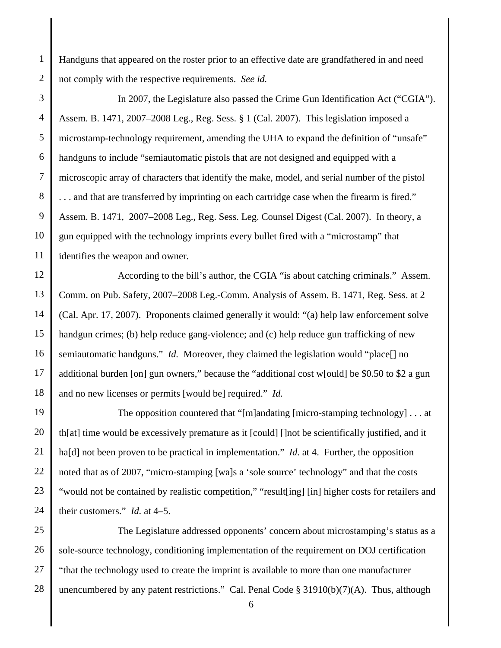1 2 Handguns that appeared on the roster prior to an effective date are grandfathered in and need not comply with the respective requirements. *See id.*

3 4 5 6 7 8 9 10 11 In 2007, the Legislature also passed the Crime Gun Identification Act ("CGIA"). Assem. B. 1471, 2007–2008 Leg., Reg. Sess. § 1 (Cal. 2007). This legislation imposed a microstamp-technology requirement, amending the UHA to expand the definition of "unsafe" handguns to include "semiautomatic pistols that are not designed and equipped with a microscopic array of characters that identify the make, model, and serial number of the pistol . . . and that are transferred by imprinting on each cartridge case when the firearm is fired." Assem. B. 1471, 2007–2008 Leg., Reg. Sess. Leg. Counsel Digest (Cal. 2007). In theory, a gun equipped with the technology imprints every bullet fired with a "microstamp" that identifies the weapon and owner.

12 13 14 15 16 17 18 According to the bill's author, the CGIA "is about catching criminals." Assem. Comm. on Pub. Safety, 2007–2008 Leg.-Comm. Analysis of Assem. B. 1471, Reg. Sess. at 2 (Cal. Apr. 17, 2007). Proponents claimed generally it would: "(a) help law enforcement solve handgun crimes; (b) help reduce gang-violence; and (c) help reduce gun trafficking of new semiautomatic handguns." *Id.* Moreover, they claimed the legislation would "place<sup>[]</sup> no additional burden [on] gun owners," because the "additional cost w[ould] be \$0.50 to \$2 a gun and no new licenses or permits [would be] required." *Id.*

19 20 21 22 23 24 The opposition countered that "[m]andating [micro-stamping technology] . . . at th[at] time would be excessively premature as it [could] []not be scientifically justified, and it ha<sup>[d]</sup> not been proven to be practical in implementation." *Id.* at 4. Further, the opposition noted that as of 2007, "micro-stamping [wa]s a 'sole source' technology" and that the costs "would not be contained by realistic competition," "result[ing] [in] higher costs for retailers and their customers." *Id.* at 4–5.

25 26 27 28 The Legislature addressed opponents' concern about microstamping's status as a sole-source technology, conditioning implementation of the requirement on DOJ certification "that the technology used to create the imprint is available to more than one manufacturer unencumbered by any patent restrictions." Cal. Penal Code  $\S$  31910(b)(7)(A). Thus, although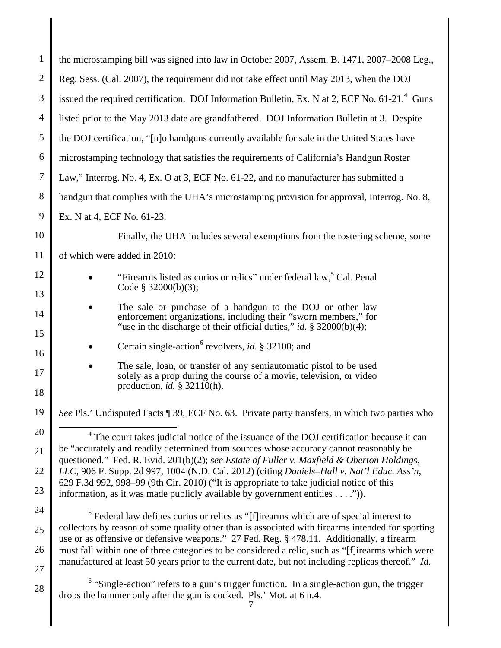| $\mathbf{1}$   | the microstamping bill was signed into law in October 2007, Assem. B. 1471, 2007–2008 Leg.,                                                                                                             |  |
|----------------|---------------------------------------------------------------------------------------------------------------------------------------------------------------------------------------------------------|--|
| $\overline{2}$ | Reg. Sess. (Cal. 2007), the requirement did not take effect until May 2013, when the DOJ                                                                                                                |  |
| 3              | issued the required certification. DOJ Information Bulletin, Ex. N at 2, ECF No. 61-21. <sup>4</sup> Guns                                                                                               |  |
| $\overline{4}$ | listed prior to the May 2013 date are grandfathered. DOJ Information Bulletin at 3. Despite                                                                                                             |  |
| 5              | the DOJ certification, "[n]o handguns currently available for sale in the United States have                                                                                                            |  |
| 6              | microstamping technology that satisfies the requirements of California's Handgun Roster                                                                                                                 |  |
| 7              | Law," Interrog. No. 4, Ex. O at 3, ECF No. 61-22, and no manufacturer has submitted a                                                                                                                   |  |
| 8              | handgun that complies with the UHA's microstamping provision for approval, Interrog. No. 8,                                                                                                             |  |
| 9              | Ex. N at 4, ECF No. 61-23.                                                                                                                                                                              |  |
| 10             | Finally, the UHA includes several exemptions from the rostering scheme, some                                                                                                                            |  |
| 11             | of which were added in 2010:                                                                                                                                                                            |  |
| 12             | "Firearms listed as curios or relics" under federal law, <sup>5</sup> Cal. Penal                                                                                                                        |  |
| 13             | Code § 32000(b)(3);                                                                                                                                                                                     |  |
| 14             | The sale or purchase of a handgun to the DOJ or other law<br>enforcement organizations, including their "sworn members," for                                                                            |  |
| 15             | "use in the discharge of their official duties," id. $\S$ 32000(b)(4);                                                                                                                                  |  |
| 16             | Certain single-action <sup>6</sup> revolvers, <i>id.</i> § 32100; and                                                                                                                                   |  |
| 17             | The sale, loan, or transfer of any semiautomatic pistol to be used<br>solely as a prop during the course of a movie, television, or video<br>production, <i>id.</i> $\S$ 32110(h).                      |  |
| 18             |                                                                                                                                                                                                         |  |
| 19             | See Pls.' Undisputed Facts ¶ 39, ECF No. 63. Private party transfers, in which two parties who                                                                                                          |  |
| 20             | $4$ The court takes judicial notice of the issuance of the DOJ certification because it can<br>be "accurately and readily determined from sources whose accuracy cannot reasonably be                   |  |
| 21             | questioned." Fed. R. Evid. 201(b)(2); see Estate of Fuller v. Maxfield & Oberton Holdings,                                                                                                              |  |
| 22             | LLC, 906 F. Supp. 2d 997, 1004 (N.D. Cal. 2012) (citing Daniels-Hall v. Nat'l Educ. Ass'n,<br>629 F.3d 992, 998–99 (9th Cir. 2010) ("It is appropriate to take judicial notice of this                  |  |
| 23             | information, as it was made publicly available by government entities $\dots$ .").                                                                                                                      |  |
| 24             | <sup>5</sup> Federal law defines curios or relics as "[f]irearms which are of special interest to                                                                                                       |  |
| 25             | collectors by reason of some quality other than is associated with firearms intended for sporting<br>use or as offensive or defensive weapons." 27 Fed. Reg. § 478.11. Additionally, a firearm          |  |
| 26             | must fall within one of three categories to be considered a relic, such as "[f]irearms which were<br>manufactured at least 50 years prior to the current date, but not including replicas thereof." Id. |  |
| 27             |                                                                                                                                                                                                         |  |
| 28             | $6$ "Single-action" refers to a gun's trigger function. In a single-action gun, the trigger<br>drops the hammer only after the gun is cocked. Pls.' Mot. at 6 n.4.                                      |  |
|                |                                                                                                                                                                                                         |  |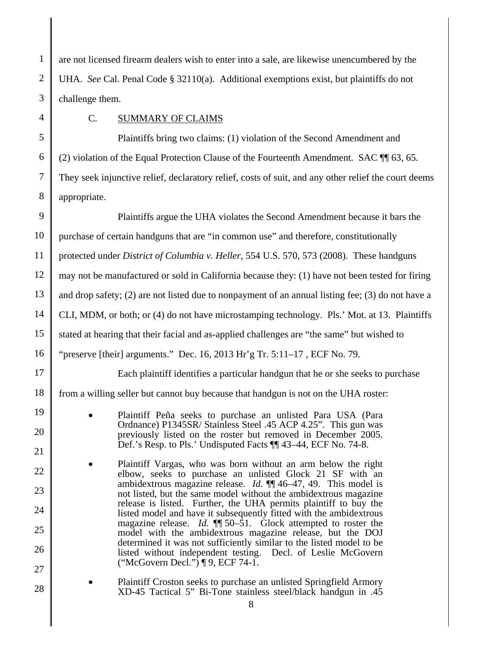1 2 3 are not licensed firearm dealers wish to enter into a sale, are likewise unencumbered by the UHA. *See* Cal. Penal Code § 32110(a). Additional exemptions exist, but plaintiffs do not challenge them.

4

#### C. SUMMARY OF CLAIMS

5 6 7 8 Plaintiffs bring two claims: (1) violation of the Second Amendment and (2) violation of the Equal Protection Clause of the Fourteenth Amendment. SAC ¶¶ 63, 65. They seek injunctive relief, declaratory relief, costs of suit, and any other relief the court deems appropriate.

9 10 11 12 13 14 15 16 17 18 19 20 21 22 23 24 25 26 27 28 Plaintiffs argue the UHA violates the Second Amendment because it bars the purchase of certain handguns that are "in common use" and therefore, constitutionally protected under *District of Columbia v. Heller*, 554 U.S. 570, 573 (2008). These handguns may not be manufactured or sold in California because they: (1) have not been tested for firing and drop safety; (2) are not listed due to nonpayment of an annual listing fee; (3) do not have a CLI, MDM, or both; or (4) do not have microstamping technology. Pls.' Mot. at 13. Plaintiffs stated at hearing that their facial and as-applied challenges are "the same" but wished to "preserve [their] arguments." Dec. 16, 2013 Hr'g Tr.  $5:11-17$ , ECF No. 79. Each plaintiff identifies a particular handgun that he or she seeks to purchase from a willing seller but cannot buy because that handgun is not on the UHA roster: Plaintiff Peña seeks to purchase an unlisted Para USA (Para Ordnance) P1345SR/ Stainless Steel .45 ACP 4.25". This gun was previously listed on the roster but removed in December 2005. Def.'s Resp. to Pls.' Undisputed Facts ¶¶ 43–44, ECF No. 74-8. Plaintiff Vargas, who was born without an arm below the right elbow, seeks to purchase an unlisted Glock 21 SF with an ambidextrous magazine release. *Id.* ¶¶ 46–47, 49. This model is not listed, but the same model without the ambidextrous magazine release is listed. Further, the UHA permits plaintiff to buy the listed model and have it subsequently fitted with the ambidextrous magazine release. *Id.* ¶¶ 50–51. Glock attempted to roster the model with the ambidextrous magazine release, but the DOJ determined it was not sufficiently similar to the listed model to be listed without independent testing. Decl. of Leslie McGovern ("McGovern Decl.") ¶ 9, ECF 74-1. Plaintiff Croston seeks to purchase an unlisted Springfield Armory XD-45 Tactical 5" Bi-Tone stainless steel/black handgun in .45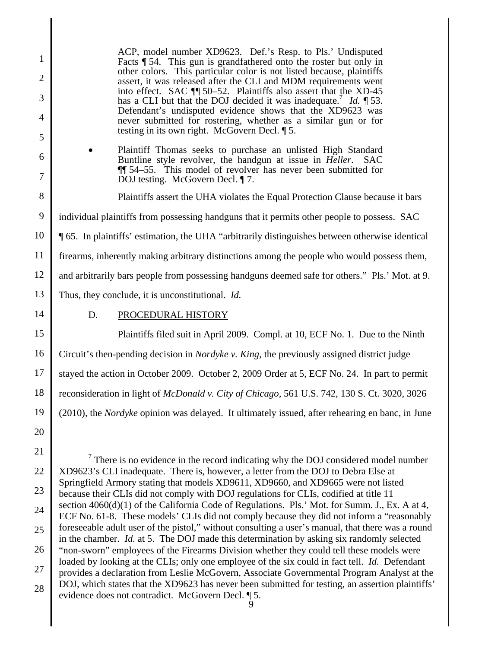| 1<br>$\overline{2}$ | ACP, model number XD9623. Def.'s Resp. to Pls.' Undisputed<br>Facts $\P$ 54. This gun is grandfathered onto the roster but only in<br>other colors. This particular color is not listed because, plaintiffs<br>assert, it was released after the CLI and MDM requirements went |  |
|---------------------|--------------------------------------------------------------------------------------------------------------------------------------------------------------------------------------------------------------------------------------------------------------------------------|--|
| 3<br>4              | into effect. SAC ¶ 50–52. Plaintiffs also assert that the XD-45<br>has a CLI but that the DOJ decided it was inadequate. $Id. \P$ 53.<br>Defendant's undisputed evidence shows that the XD9623 was                                                                             |  |
| 5                   | never submitted for rostering, whether as a similar gun or for<br>testing in its own right. McGovern Decl. $\P$ 5.                                                                                                                                                             |  |
| 6<br>7              | Plaintiff Thomas seeks to purchase an unlisted High Standard<br>Buntline style revolver, the handgun at issue in <i>Heller</i> . SAC<br>$\P$ 54–55. This model of revolver has never been submitted for<br>DOJ testing. McGovern Decl. ¶ 7.                                    |  |
| 8                   | Plaintiffs assert the UHA violates the Equal Protection Clause because it bars                                                                                                                                                                                                 |  |
| 9                   | individual plaintiffs from possessing handguns that it permits other people to possess. SAC                                                                                                                                                                                    |  |
| 10                  | <b>165.</b> In plaintiffs' estimation, the UHA "arbitrarily distinguishes between otherwise identical                                                                                                                                                                          |  |
| 11                  | firearms, inherently making arbitrary distinctions among the people who would possess them,                                                                                                                                                                                    |  |
| 12                  | and arbitrarily bars people from possessing handguns deemed safe for others." Pls.' Mot. at 9.                                                                                                                                                                                 |  |
| 13                  | Thus, they conclude, it is unconstitutional. Id.                                                                                                                                                                                                                               |  |
| 14                  | D.<br>PROCEDURAL HISTORY                                                                                                                                                                                                                                                       |  |
| 15                  | Plaintiffs filed suit in April 2009. Compl. at 10, ECF No. 1. Due to the Ninth                                                                                                                                                                                                 |  |
| 16                  | Circuit's then-pending decision in Nordyke v. King, the previously assigned district judge                                                                                                                                                                                     |  |
| 17                  | stayed the action in October 2009. October 2, 2009 Order at 5, ECF No. 24. In part to permit                                                                                                                                                                                   |  |
| 18                  | reconsideration in light of McDonald v. City of Chicago, 561 U.S. 742, 130 S. Ct. 3020, 3026                                                                                                                                                                                   |  |
| 19                  | $\ $ (2010), the <i>Nordyke</i> opinion was delayed. It ultimately issued, after rehearing en banc, in June                                                                                                                                                                    |  |
| 20                  |                                                                                                                                                                                                                                                                                |  |
| 21                  | $\frac{7}{7}$ There is no evidence in the record indicating why the DOJ considered model number                                                                                                                                                                                |  |
| 22                  | XD9623's CLI inadequate. There is, however, a letter from the DOJ to Debra Else at                                                                                                                                                                                             |  |
| 23                  | Springfield Armory stating that models XD9611, XD9660, and XD9665 were not listed<br>because their CLIs did not comply with DOJ regulations for CLIs, codified at title 11                                                                                                     |  |
| 24                  | section 4060(d)(1) of the California Code of Regulations. Pls.' Mot. for Summ. J., Ex. A at 4,<br>ECF No. 61-8. These models' CLIs did not comply because they did not inform a "reasonably                                                                                    |  |
| 25                  | foreseeable adult user of the pistol," without consulting a user's manual, that there was a round<br>in the chamber. <i>Id.</i> at 5. The DOJ made this determination by asking six randomly selected                                                                          |  |
| 26                  | "non-sworn" employees of the Firearms Division whether they could tell these models were                                                                                                                                                                                       |  |
| 27                  | loaded by looking at the CLIs; only one employee of the six could in fact tell. Id. Defendant<br>provides a declaration from Leslie McGovern, Associate Governmental Program Analyst at the<br>VDOCA21                                                                         |  |

28 DOJ, which states that the XD9623 has never been submitted for testing, an assertion plaintiffs' evidence does not contradict. McGovern Decl. ¶ 5.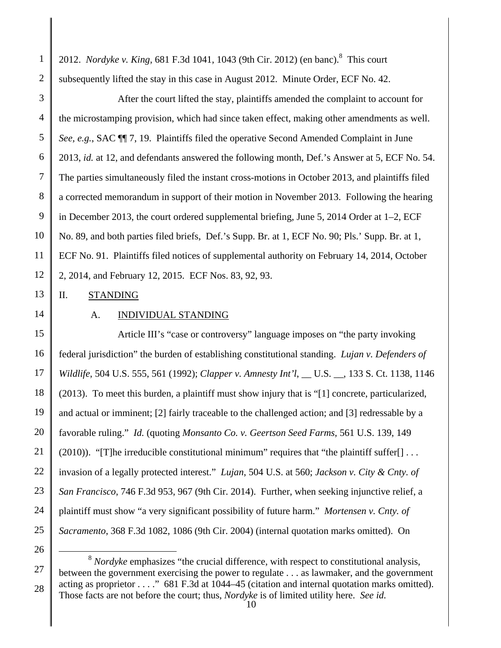1 2 2012. *Nordyke v. King*, 681 F.3d 1041, 1043 (9th Cir. 2012) (en banc).<sup>8</sup> This court subsequently lifted the stay in this case in August 2012. Minute Order, ECF No. 42.

3 4 5 6 7 8 9 10 11 12 After the court lifted the stay, plaintiffs amended the complaint to account for the microstamping provision, which had since taken effect, making other amendments as well. *See, e.g.*, SAC ¶¶ 7, 19. Plaintiffs filed the operative Second Amended Complaint in June 2013, *id.* at 12, and defendants answered the following month, Def.'s Answer at 5, ECF No. 54. The parties simultaneously filed the instant cross-motions in October 2013, and plaintiffs filed a corrected memorandum in support of their motion in November 2013. Following the hearing in December 2013, the court ordered supplemental briefing, June 5, 2014 Order at 1–2, ECF No. 89, and both parties filed briefs, Def.'s Supp. Br. at 1, ECF No. 90; Pls.' Supp. Br. at 1, ECF No. 91. Plaintiffs filed notices of supplemental authority on February 14, 2014, October 2, 2014, and February 12, 2015. ECF Nos. 83, 92, 93.

13 II. STANDING

14

# A. INDIVIDUAL STANDING

15 16 17 18 19 20 21 22 23 24 25 Article III's "case or controversy" language imposes on "the party invoking federal jurisdiction" the burden of establishing constitutional standing. *Lujan v. Defenders of Wildlife*, 504 U.S. 555, 561 (1992); *Clapper v. Amnesty Int'l*, \_\_ U.S. \_\_, 133 S. Ct. 1138, 1146 (2013). To meet this burden, a plaintiff must show injury that is "[1] concrete, particularized, and actual or imminent; [2] fairly traceable to the challenged action; and [3] redressable by a favorable ruling." *Id.* (quoting *Monsanto Co. v. Geertson Seed Farms*, 561 U.S. 139, 149  $(2010)$ ). "[T]he irreducible constitutional minimum" requires that "the plaintiff suffer[] ... invasion of a legally protected interest." *Lujan*, 504 U.S. at 560; *Jackson v. City & Cnty. of San Francisco*, 746 F.3d 953, 967 (9th Cir. 2014). Further, when seeking injunctive relief, a plaintiff must show "a very significant possibility of future harm." *Mortensen v. Cnty. of Sacramento*, 368 F.3d 1082, 1086 (9th Cir. 2004) (internal quotation marks omitted). On

26

27

 <sup>8</sup> *Nordyke* emphasizes "the crucial difference, with respect to constitutional analysis, between the government exercising the power to regulate . . . as lawmaker, and the government acting as proprietor . . . ." 681 F.3d at 1044–45 (citation and internal quotation marks omitted). Those facts are not before the court; thus, *Nordyke* is of limited utility here. *See id.*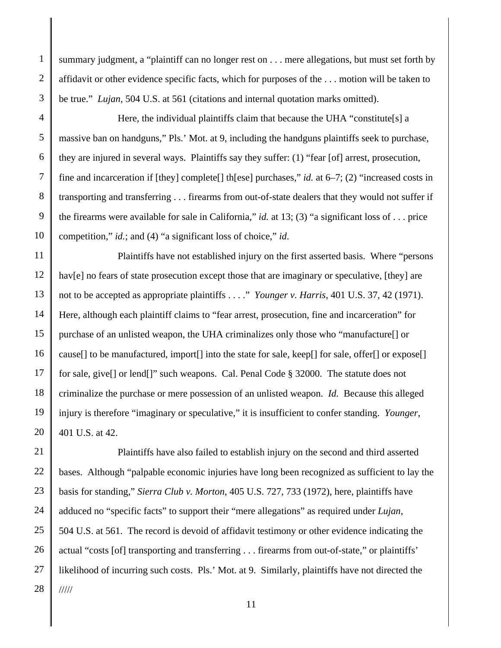1 2 3 summary judgment, a "plaintiff can no longer rest on . . . mere allegations, but must set forth by affidavit or other evidence specific facts, which for purposes of the . . . motion will be taken to be true." *Lujan*, 504 U.S. at 561 (citations and internal quotation marks omitted).

4 5 6 7 8 9 10 Here, the individual plaintiffs claim that because the UHA "constitute<sup>[s]</sup> a massive ban on handguns," Pls.' Mot. at 9, including the handguns plaintiffs seek to purchase, they are injured in several ways. Plaintiffs say they suffer: (1) "fear [of] arrest, prosecution, fine and incarceration if [they] complete[] th[ese] purchases," *id.* at 6–7; (2) "increased costs in transporting and transferring . . . firearms from out-of-state dealers that they would not suffer if the firearms were available for sale in California," *id.* at 13; (3) "a significant loss of . . . price competition," *id.*; and (4) "a significant loss of choice," *id*.

11 12 13 14 15 16 17 18 19 20 Plaintiffs have not established injury on the first asserted basis. Where "persons hav[e] no fears of state prosecution except those that are imaginary or speculative, [they] are not to be accepted as appropriate plaintiffs . . . ." *Younger v. Harris*, 401 U.S. 37, 42 (1971). Here, although each plaintiff claims to "fear arrest, prosecution, fine and incarceration" for purchase of an unlisted weapon, the UHA criminalizes only those who "manufacture[] or cause[] to be manufactured, import[] into the state for sale, keep[] for sale, offer[] or expose[] for sale, give[] or lend[]" such weapons. Cal. Penal Code § 32000. The statute does not criminalize the purchase or mere possession of an unlisted weapon. *Id.* Because this alleged injury is therefore "imaginary or speculative," it is insufficient to confer standing. *Younger*, 401 U.S. at 42.

21 22 23 24 25 26 27 28 Plaintiffs have also failed to establish injury on the second and third asserted bases. Although "palpable economic injuries have long been recognized as sufficient to lay the basis for standing," *Sierra Club v. Morton*, 405 U.S. 727, 733 (1972), here, plaintiffs have adduced no "specific facts" to support their "mere allegations" as required under *Lujan*, 504 U.S. at 561. The record is devoid of affidavit testimony or other evidence indicating the actual "costs [of] transporting and transferring . . . firearms from out-of-state," or plaintiffs' likelihood of incurring such costs. Pls.' Mot. at 9. Similarly, plaintiffs have not directed the /////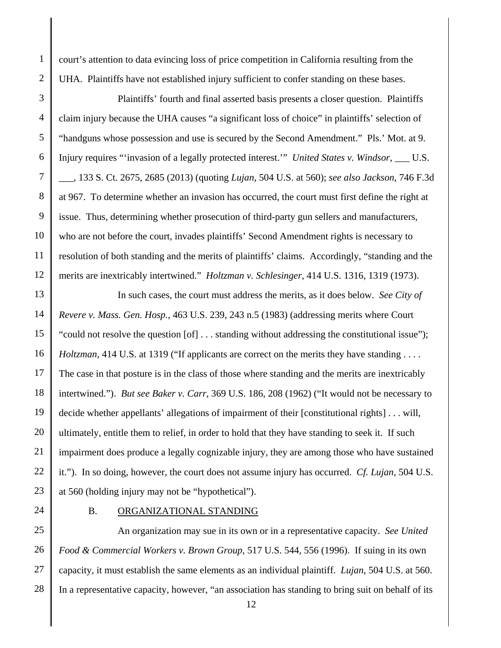court's attention to data evincing loss of price competition in California resulting from the UHA. Plaintiffs have not established injury sufficient to confer standing on these bases.

3 4 5 6 7 8 9 10 11 12 Plaintiffs' fourth and final asserted basis presents a closer question. Plaintiffs claim injury because the UHA causes "a significant loss of choice" in plaintiffs' selection of "handguns whose possession and use is secured by the Second Amendment." Pls.' Mot. at 9. Injury requires "'invasion of a legally protected interest.'" *United States v. Windsor*, \_\_\_ U.S. \_\_\_, 133 S. Ct. 2675, 2685 (2013) (quoting *Lujan*, 504 U.S. at 560); *see also Jackson*, 746 F.3d at 967. To determine whether an invasion has occurred, the court must first define the right at issue. Thus, determining whether prosecution of third-party gun sellers and manufacturers, who are not before the court, invades plaintiffs' Second Amendment rights is necessary to resolution of both standing and the merits of plaintiffs' claims. Accordingly, "standing and the merits are inextricably intertwined." *Holtzman v. Schlesinger*, 414 U.S. 1316, 1319 (1973).

13 14 15 16 17 18 19 20 21 22 23 In such cases, the court must address the merits, as it does below. *See City of Revere v. Mass. Gen. Hosp.*, 463 U.S. 239, 243 n.5 (1983) (addressing merits where Court "could not resolve the question [of] . . . standing without addressing the constitutional issue"); *Holtzman*, 414 U.S. at 1319 ("If applicants are correct on the merits they have standing . . . . The case in that posture is in the class of those where standing and the merits are inextricably intertwined."). *But see Baker v. Carr*, 369 U.S. 186, 208 (1962) ("It would not be necessary to decide whether appellants' allegations of impairment of their [constitutional rights] . . . will, ultimately, entitle them to relief, in order to hold that they have standing to seek it. If such impairment does produce a legally cognizable injury, they are among those who have sustained it."). In so doing, however, the court does not assume injury has occurred. *Cf. Lujan*, 504 U.S. at 560 (holding injury may not be "hypothetical").

24

1

2

#### B. ORGANIZATIONAL STANDING

25 26 27 28 An organization may sue in its own or in a representative capacity. *See United Food & Commercial Workers v. Brown Group*, 517 U.S. 544, 556 (1996). If suing in its own capacity, it must establish the same elements as an individual plaintiff. *Lujan*, 504 U.S. at 560. In a representative capacity, however, "an association has standing to bring suit on behalf of its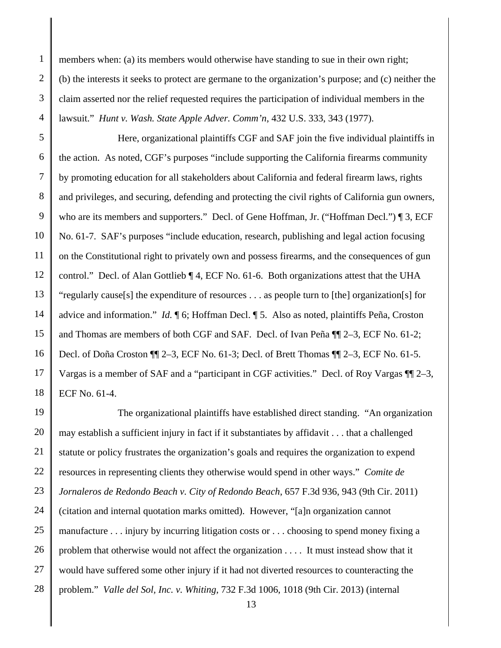1 2 3 4 members when: (a) its members would otherwise have standing to sue in their own right; (b) the interests it seeks to protect are germane to the organization's purpose; and (c) neither the claim asserted nor the relief requested requires the participation of individual members in the lawsuit." *Hunt v. Wash. State Apple Adver. Comm'n*, 432 U.S. 333, 343 (1977).

5 6 7 8 9 10 11 12 13 14 15 16 17 18 Here, organizational plaintiffs CGF and SAF join the five individual plaintiffs in the action. As noted, CGF's purposes "include supporting the California firearms community by promoting education for all stakeholders about California and federal firearm laws, rights and privileges, and securing, defending and protecting the civil rights of California gun owners, who are its members and supporters." Decl. of Gene Hoffman, Jr. ("Hoffman Decl.") ¶ 3, ECF No. 61-7. SAF's purposes "include education, research, publishing and legal action focusing on the Constitutional right to privately own and possess firearms, and the consequences of gun control." Decl. of Alan Gottlieb ¶ 4, ECF No. 61-6. Both organizations attest that the UHA "regularly cause[s] the expenditure of resources . . . as people turn to [the] organization[s] for advice and information." *Id.* ¶ 6; Hoffman Decl. ¶ 5. Also as noted, plaintiffs Peña, Croston and Thomas are members of both CGF and SAF. Decl. of Ivan Peña ¶¶ 2–3, ECF No. 61-2; Decl. of Doña Croston ¶¶ 2–3, ECF No. 61-3; Decl. of Brett Thomas ¶¶ 2–3, ECF No. 61-5. Vargas is a member of SAF and a "participant in CGF activities." Decl. of Roy Vargas ¶¶ 2–3, ECF No. 61-4.

19 20 21 22 23 24 25 26 27 28 The organizational plaintiffs have established direct standing. "An organization may establish a sufficient injury in fact if it substantiates by affidavit . . . that a challenged statute or policy frustrates the organization's goals and requires the organization to expend resources in representing clients they otherwise would spend in other ways." *Comite de Jornaleros de Redondo Beach v. City of Redondo Beach*, 657 F.3d 936, 943 (9th Cir. 2011) (citation and internal quotation marks omitted). However, "[a]n organization cannot manufacture . . . injury by incurring litigation costs or . . . choosing to spend money fixing a problem that otherwise would not affect the organization . . . . It must instead show that it would have suffered some other injury if it had not diverted resources to counteracting the problem." *Valle del Sol, Inc. v. Whiting*, 732 F.3d 1006, 1018 (9th Cir. 2013) (internal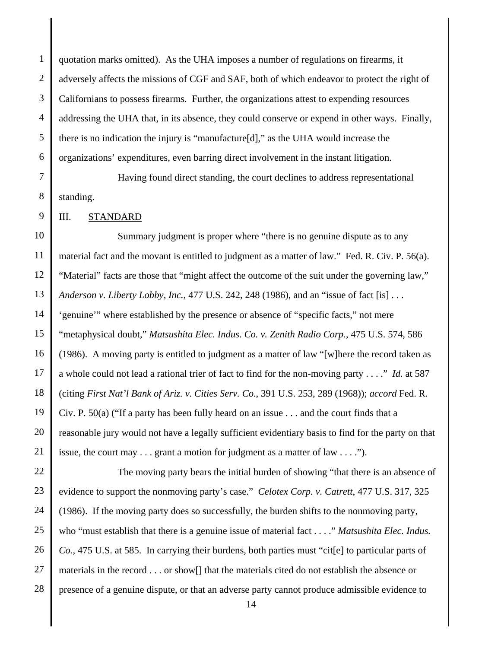1 2 3 4 5 6 quotation marks omitted). As the UHA imposes a number of regulations on firearms, it adversely affects the missions of CGF and SAF, both of which endeavor to protect the right of Californians to possess firearms. Further, the organizations attest to expending resources addressing the UHA that, in its absence, they could conserve or expend in other ways. Finally, there is no indication the injury is "manufacture[d]," as the UHA would increase the organizations' expenditures, even barring direct involvement in the instant litigation.

7

8

Having found direct standing, the court declines to address representational standing.

9 III. STANDARD

10 11 12 13 14 15 16 17 18 19 20 21 Summary judgment is proper where "there is no genuine dispute as to any material fact and the movant is entitled to judgment as a matter of law." Fed. R. Civ. P. 56(a). "Material" facts are those that "might affect the outcome of the suit under the governing law," *Anderson v. Liberty Lobby, Inc.*, 477 U.S. 242, 248 (1986), and an "issue of fact [is] . . . 'genuine'" where established by the presence or absence of "specific facts," not mere "metaphysical doubt," *Matsushita Elec. Indus. Co. v. Zenith Radio Corp.*, 475 U.S. 574, 586 (1986). A moving party is entitled to judgment as a matter of law "[w]here the record taken as a whole could not lead a rational trier of fact to find for the non-moving party . . . ." *Id.* at 587 (citing *First Nat'l Bank of Ariz. v. Cities Serv. Co.*, 391 U.S. 253, 289 (1968)); *accord* Fed. R. Civ. P. 50(a) ("If a party has been fully heard on an issue . . . and the court finds that a reasonable jury would not have a legally sufficient evidentiary basis to find for the party on that issue, the court may . . . grant a motion for judgment as a matter of law . . . .").

22 23 24 25 26 27 28 The moving party bears the initial burden of showing "that there is an absence of evidence to support the nonmoving party's case." *Celotex Corp. v. Catrett*, 477 U.S. 317, 325 (1986). If the moving party does so successfully, the burden shifts to the nonmoving party, who "must establish that there is a genuine issue of material fact . . . ." *Matsushita Elec. Indus. Co.*, 475 U.S. at 585. In carrying their burdens, both parties must "cit[e] to particular parts of materials in the record . . . or show[] that the materials cited do not establish the absence or presence of a genuine dispute, or that an adverse party cannot produce admissible evidence to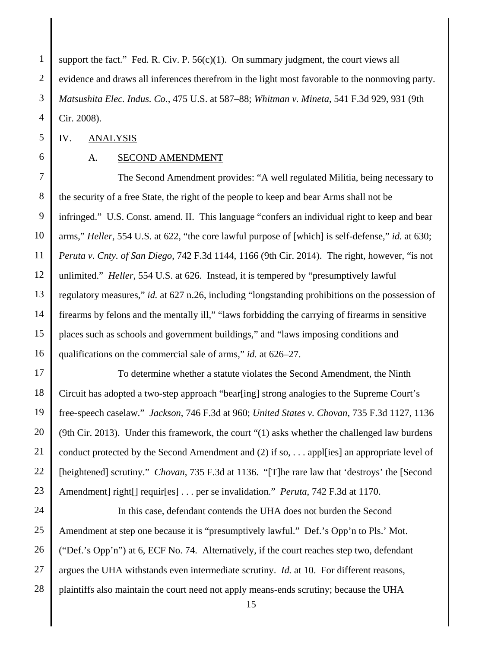1 2 3 4 support the fact." Fed. R. Civ. P.  $56(c)(1)$ . On summary judgment, the court views all evidence and draws all inferences therefrom in the light most favorable to the nonmoving party. *Matsushita Elec. Indus. Co.*, 475 U.S. at 587–88; *Whitman v. Mineta*, 541 F.3d 929, 931 (9th Cir. 2008).

5 IV. ANALYSIS

6

## A. SECOND AMENDMENT

7 8 9 10 11 12 13 14 15 16 The Second Amendment provides: "A well regulated Militia, being necessary to the security of a free State, the right of the people to keep and bear Arms shall not be infringed." U.S. Const. amend. II. This language "confers an individual right to keep and bear arms," *Heller,* 554 U.S. at 622, "the core lawful purpose of [which] is self-defense," *id.* at 630; *Peruta v. Cnty. of San Diego*, 742 F.3d 1144, 1166 (9th Cir. 2014). The right, however, "is not unlimited." *Heller*, 554 U.S. at 626*.* Instead, it is tempered by "presumptively lawful regulatory measures," *id.* at 627 n.26, including "longstanding prohibitions on the possession of firearms by felons and the mentally ill," "laws forbidding the carrying of firearms in sensitive places such as schools and government buildings," and "laws imposing conditions and qualifications on the commercial sale of arms," *id.* at 626–27.

17 18 19 20 21 22 23 To determine whether a statute violates the Second Amendment, the Ninth Circuit has adopted a two-step approach "bear[ing] strong analogies to the Supreme Court's free-speech caselaw." *Jackson*, 746 F.3d at 960; *United States v. Chovan*, 735 F.3d 1127, 1136 (9th Cir. 2013). Under this framework, the court "(1) asks whether the challenged law burdens conduct protected by the Second Amendment and (2) if so, . . . appl[ies] an appropriate level of [heightened] scrutiny." *Chovan*, 735 F.3d at 1136. "[T]he rare law that 'destroys' the [Second Amendment] right[] requir[es] . . . per se invalidation." *Peruta*, 742 F.3d at 1170.

24 25 26 27 28 In this case, defendant contends the UHA does not burden the Second Amendment at step one because it is "presumptively lawful." Def.'s Opp'n to Pls.' Mot. ("Def.'s Opp'n") at 6, ECF No. 74. Alternatively, if the court reaches step two, defendant argues the UHA withstands even intermediate scrutiny. *Id.* at 10. For different reasons, plaintiffs also maintain the court need not apply means-ends scrutiny; because the UHA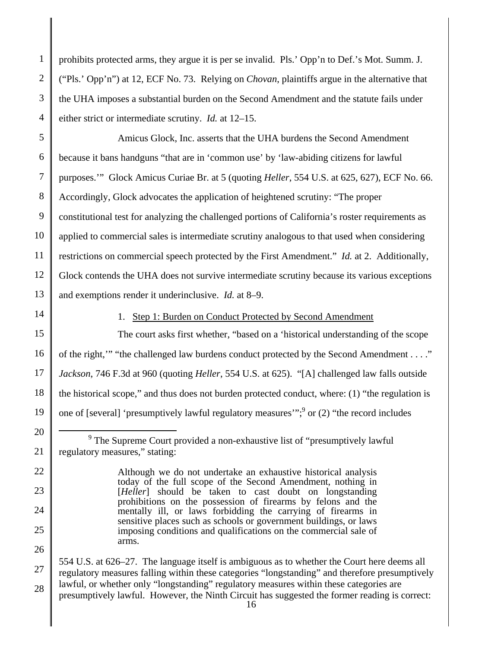1 2 3 4 prohibits protected arms, they argue it is per se invalid. Pls.' Opp'n to Def.'s Mot. Summ. J. ("Pls.' Opp'n") at 12, ECF No. 73. Relying on *Chovan*, plaintiffs argue in the alternative that the UHA imposes a substantial burden on the Second Amendment and the statute fails under either strict or intermediate scrutiny. *Id.* at 12–15.

5 6 7 8 9 10 11 12 13 Amicus Glock, Inc. asserts that the UHA burdens the Second Amendment because it bans handguns "that are in 'common use' by 'law-abiding citizens for lawful purposes.'" Glock Amicus Curiae Br. at 5 (quoting *Heller*, 554 U.S. at 625, 627), ECF No. 66. Accordingly, Glock advocates the application of heightened scrutiny: "The proper constitutional test for analyzing the challenged portions of California's roster requirements as applied to commercial sales is intermediate scrutiny analogous to that used when considering restrictions on commercial speech protected by the First Amendment." *Id.* at 2. Additionally, Glock contends the UHA does not survive intermediate scrutiny because its various exceptions and exemptions render it underinclusive. *Id.* at 8–9.

14

20

21

22

23

24

25

26

27

28

#### 1. Step 1: Burden on Conduct Protected by Second Amendment

15 16 17 18 19 The court asks first whether, "based on a 'historical understanding of the scope of the right,'" "the challenged law burdens conduct protected by the Second Amendment . . . ." *Jackson*, 746 F.3d at 960 (quoting *Heller*, 554 U.S. at 625). "[A] challenged law falls outside the historical scope," and thus does not burden protected conduct, where: (1) "the regulation is one of [several] 'presumptively lawful regulatory measures'";  $\frac{9}{9}$  or (2) "the record includes

#### 16 554 U.S. at 626–27. The language itself is ambiguous as to whether the Court here deems all regulatory measures falling within these categories "longstanding" and therefore presumptively lawful, or whether only "longstanding" regulatory measures within these categories are presumptively lawful. However, the Ninth Circuit has suggested the former reading is correct:

 <sup>9</sup> <sup>9</sup> The Supreme Court provided a non-exhaustive list of "presumptively lawful regulatory measures," stating:

Although we do not undertake an exhaustive historical analysis today of the full scope of the Second Amendment, nothing in [*Heller*] should be taken to cast doubt on longstanding prohibitions on the possession of firearms by felons and the mentally ill, or laws forbidding the carrying of firearms in sensitive places such as schools or government buildings, or laws imposing conditions and qualifications on the commercial sale of arms.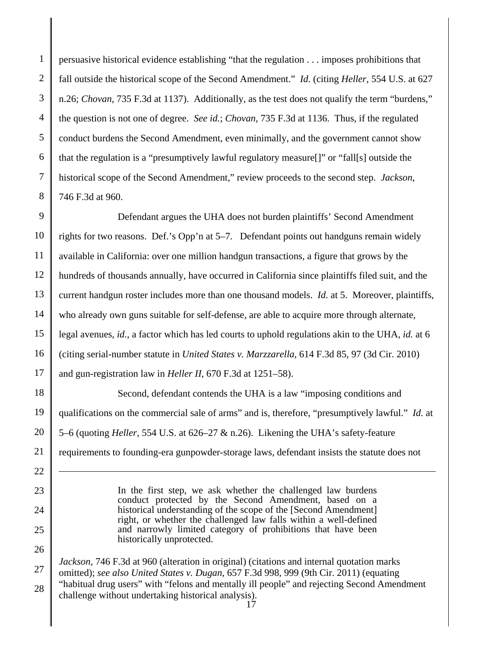1 2 3 4 5 6 7 8 persuasive historical evidence establishing "that the regulation . . . imposes prohibitions that fall outside the historical scope of the Second Amendment." *Id.* (citing *Heller*, 554 U.S. at 627 n.26; *Chovan*, 735 F.3d at 1137). Additionally, as the test does not qualify the term "burdens," the question is not one of degree. *See id.*; *Chovan*, 735 F.3d at 1136. Thus, if the regulated conduct burdens the Second Amendment, even minimally, and the government cannot show that the regulation is a "presumptively lawful regulatory measure[]" or "fall[s] outside the historical scope of the Second Amendment," review proceeds to the second step. *Jackson*, 746 F.3d at 960.

9 10 11 12 13 14 15 16 17 18 Defendant argues the UHA does not burden plaintiffs' Second Amendment rights for two reasons. Def.'s Opp'n at 5–7. Defendant points out handguns remain widely available in California: over one million handgun transactions, a figure that grows by the hundreds of thousands annually, have occurred in California since plaintiffs filed suit, and the current handgun roster includes more than one thousand models. *Id.* at 5. Moreover, plaintiffs, who already own guns suitable for self-defense, are able to acquire more through alternate, legal avenues, *id.*, a factor which has led courts to uphold regulations akin to the UHA, *id.* at 6 (citing serial-number statute in *United States v. Marzzarella*, 614 F.3d 85, 97 (3d Cir. 2010) and gun-registration law in *Heller II*, 670 F.3d at 1251–58). Second, defendant contends the UHA is a law "imposing conditions and

19 20 qualifications on the commercial sale of arms" and is, therefore, "presumptively lawful." *Id.* at 5–6 (quoting *Heller*, 554 U.S. at 626–27 & n.26). Likening the UHA's safety-feature requirements to founding-era gunpowder-storage laws, defendant insists the statute does not

> In the first step, we ask whether the challenged law burdens conduct protected by the Second Amendment, based on a historical understanding of the scope of the [Second Amendment] right, or whether the challenged law falls within a well-defined and narrowly limited category of prohibitions that have been historically unprotected.

17 *Jackson*, 746 F.3d at 960 (alteration in original) (citations and internal quotation marks omitted); *see also United States v. Dugan*, 657 F.3d 998, 999 (9th Cir. 2011) (equating "habitual drug users" with "felons and mentally ill people" and rejecting Second Amendment challenge without undertaking historical analysis).

 $\overline{a}$ 

27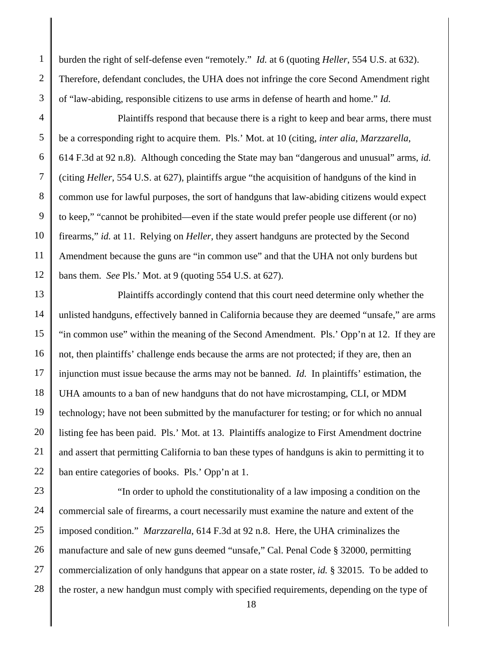1 2 3 burden the right of self-defense even "remotely." *Id.* at 6 (quoting *Heller*, 554 U.S. at 632). Therefore, defendant concludes, the UHA does not infringe the core Second Amendment right of "law-abiding, responsible citizens to use arms in defense of hearth and home." *Id.*

- 4 5 6 7 8 9 10 11 12 Plaintiffs respond that because there is a right to keep and bear arms, there must be a corresponding right to acquire them. Pls.' Mot. at 10 (citing, *inter alia*, *Marzzarella*, 614 F.3d at 92 n.8). Although conceding the State may ban "dangerous and unusual" arms, *id.* (citing *Heller*, 554 U.S. at 627), plaintiffs argue "the acquisition of handguns of the kind in common use for lawful purposes, the sort of handguns that law-abiding citizens would expect to keep," "cannot be prohibited—even if the state would prefer people use different (or no) firearms," *id.* at 11. Relying on *Heller*, they assert handguns are protected by the Second Amendment because the guns are "in common use" and that the UHA not only burdens but bans them. *See* Pls.' Mot. at 9 (quoting 554 U.S. at 627).
- 13 14 15 16 17 18 19 20 21 22 Plaintiffs accordingly contend that this court need determine only whether the unlisted handguns, effectively banned in California because they are deemed "unsafe," are arms "in common use" within the meaning of the Second Amendment. Pls.' Opp'n at 12. If they are not, then plaintiffs' challenge ends because the arms are not protected; if they are, then an injunction must issue because the arms may not be banned. *Id.* In plaintiffs' estimation, the UHA amounts to a ban of new handguns that do not have microstamping, CLI, or MDM technology; have not been submitted by the manufacturer for testing; or for which no annual listing fee has been paid. Pls.' Mot. at 13. Plaintiffs analogize to First Amendment doctrine and assert that permitting California to ban these types of handguns is akin to permitting it to ban entire categories of books. Pls.' Opp'n at 1.

23 24 25 26 27 28 "In order to uphold the constitutionality of a law imposing a condition on the commercial sale of firearms, a court necessarily must examine the nature and extent of the imposed condition." *Marzzarella*, 614 F.3d at 92 n.8. Here, the UHA criminalizes the manufacture and sale of new guns deemed "unsafe," Cal. Penal Code § 32000, permitting commercialization of only handguns that appear on a state roster, *id.* § 32015. To be added to the roster, a new handgun must comply with specified requirements, depending on the type of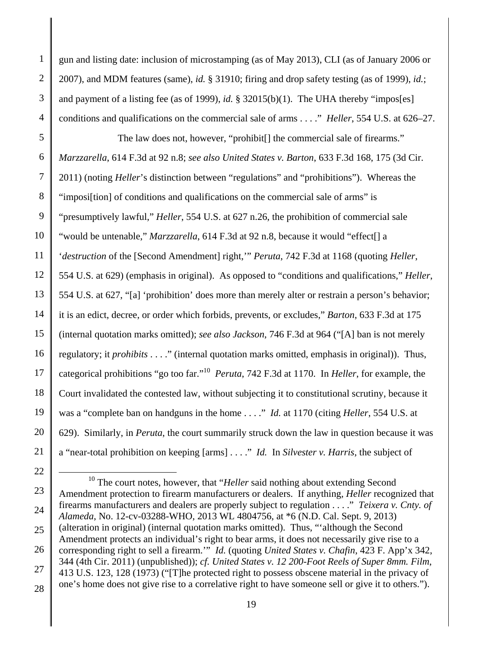1 2 3 4 5 6 7 8 9 10 11 12 13 14 15 16 17 18 19 20 21 gun and listing date: inclusion of microstamping (as of May 2013), CLI (as of January 2006 or 2007), and MDM features (same), *id.* § 31910; firing and drop safety testing (as of 1999), *id.*; and payment of a listing fee (as of 1999), *id.* § 32015(b)(1). The UHA thereby "impos[es] conditions and qualifications on the commercial sale of arms . . . ." *Heller*, 554 U.S. at 626–27. The law does not, however, "prohibit[] the commercial sale of firearms." *Marzzarella*, 614 F.3d at 92 n.8; *see also United States v. Barton*, 633 F.3d 168, 175 (3d Cir. 2011) (noting *Heller*'s distinction between "regulations" and "prohibitions"). Whereas the "imposi[tion] of conditions and qualifications on the commercial sale of arms" is "presumptively lawful," *Heller*, 554 U.S. at 627 n.26, the prohibition of commercial sale "would be untenable," *Marzzarella*, 614 F.3d at 92 n.8, because it would "effect[] a '*destruction* of the [Second Amendment] right,'" *Peruta*, 742 F.3d at 1168 (quoting *Heller*, 554 U.S. at 629) (emphasis in original). As opposed to "conditions and qualifications," *Heller*, 554 U.S. at 627, "[a] 'prohibition' does more than merely alter or restrain a person's behavior; it is an edict, decree, or order which forbids, prevents, or excludes," *Barton*, 633 F.3d at 175 (internal quotation marks omitted); *see also Jackson*, 746 F.3d at 964 ("[A] ban is not merely regulatory; it *prohibits* . . . ." (internal quotation marks omitted, emphasis in original)). Thus, categorical prohibitions "go too far."10 *Peruta*, 742 F.3d at 1170. In *Heller*, for example, the Court invalidated the contested law, without subjecting it to constitutional scrutiny, because it was a "complete ban on handguns in the home . . . ." *Id.* at 1170 (citing *Heller*, 554 U.S. at 629). Similarly, in *Peruta*, the court summarily struck down the law in question because it was a "near-total prohibition on keeping [arms] . . . ." *Id.* In *Silvester v. Harris*, the subject of

<sup>23</sup>  24 25 26 27 28 <sup>10</sup> The court notes, however, that "*Heller* said nothing about extending Second Amendment protection to firearm manufacturers or dealers. If anything, *Heller* recognized that firearms manufacturers and dealers are properly subject to regulation . . . ." *Teixera v. Cnty. of Alameda*, No. 12-cv-03288-WHO, 2013 WL 4804756, at \*6 (N.D. Cal. Sept. 9, 2013) (alteration in original) (internal quotation marks omitted). Thus, "'although the Second Amendment protects an individual's right to bear arms, it does not necessarily give rise to a corresponding right to sell a firearm.'" *Id.* (quoting *United States v. Chafin*, 423 F. App'x 342, 344 (4th Cir. 2011) (unpublished)); *cf. United States v. 12 200-Foot Reels of Super 8mm. Film*, 413 U.S. 123, 128 (1973) ("[T]he protected right to possess obscene material in the privacy of one's home does not give rise to a correlative right to have someone sell or give it to others.").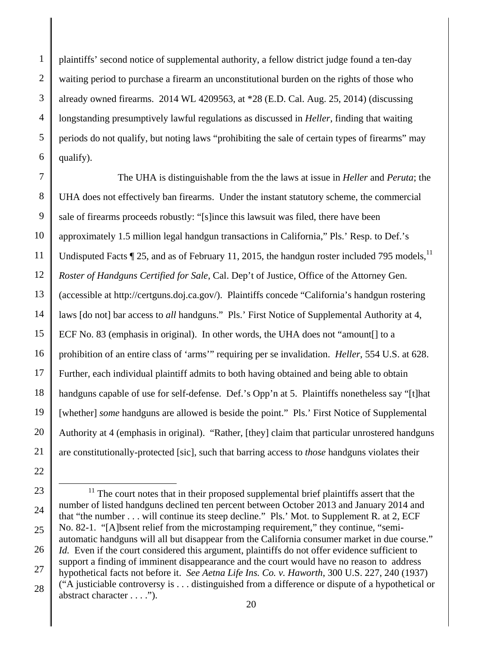1 2 3 4 5 6 plaintiffs' second notice of supplemental authority, a fellow district judge found a ten-day waiting period to purchase a firearm an unconstitutional burden on the rights of those who already owned firearms. 2014 WL 4209563, at \*28 (E.D. Cal. Aug. 25, 2014) (discussing longstanding presumptively lawful regulations as discussed in *Heller*, finding that waiting periods do not qualify, but noting laws "prohibiting the sale of certain types of firearms" may qualify).

7 8 9 10 11 12 13 14 15 16 17 18 19 20 21 The UHA is distinguishable from the the laws at issue in *Heller* and *Peruta*; the UHA does not effectively ban firearms. Under the instant statutory scheme, the commercial sale of firearms proceeds robustly: "[s]ince this lawsuit was filed, there have been approximately 1.5 million legal handgun transactions in California," Pls.' Resp. to Def.'s Undisputed Facts  $\P$  25, and as of February 11, 2015, the handgun roster included 795 models,  $^{11}$ *Roster of Handguns Certified for Sale*, Cal. Dep't of Justice, Office of the Attorney Gen. (accessible at http://certguns.doj.ca.gov/). Plaintiffs concede "California's handgun rostering laws [do not] bar access to *all* handguns." Pls.' First Notice of Supplemental Authority at 4, ECF No. 83 (emphasis in original). In other words, the UHA does not "amount[] to a prohibition of an entire class of 'arms'" requiring per se invalidation. *Heller*, 554 U.S. at 628. Further, each individual plaintiff admits to both having obtained and being able to obtain handguns capable of use for self-defense. Def.'s Opp'n at 5. Plaintiffs nonetheless say "[t]hat [whether] *some* handguns are allowed is beside the point." Pls.' First Notice of Supplemental Authority at 4 (emphasis in original). "Rather, [they] claim that particular unrostered handguns are constitutionally-protected [sic], such that barring access to *those* handguns violates their

<sup>23</sup>  24 25 26 27 28  $11$ <sup>11</sup> The court notes that in their proposed supplemental brief plaintiffs assert that the number of listed handguns declined ten percent between October 2013 and January 2014 and that "the number . . . will continue its steep decline." Pls.' Mot. to Supplement R. at 2, ECF No. 82-1. "[A]bsent relief from the microstamping requirement," they continue, "semiautomatic handguns will all but disappear from the California consumer market in due course." *Id.* Even if the court considered this argument, plaintiffs do not offer evidence sufficient to support a finding of imminent disappearance and the court would have no reason to address hypothetical facts not before it. *See Aetna Life Ins. Co. v. Haworth*, 300 U.S. 227, 240 (1937) ("A justiciable controversy is . . . distinguished from a difference or dispute of a hypothetical or abstract character . . . .").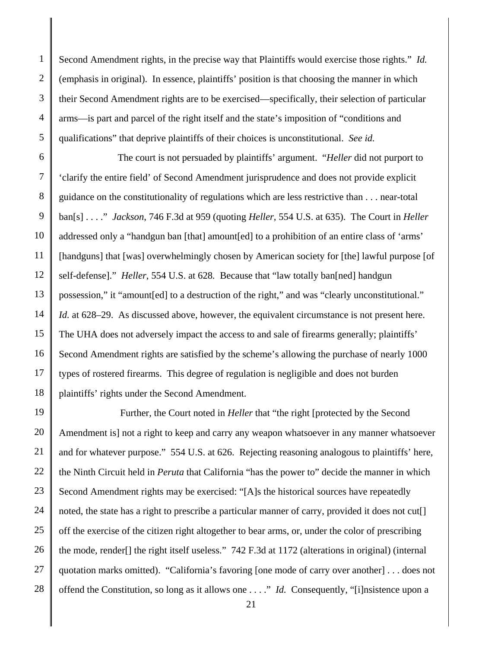1 2 3 4 5 Second Amendment rights, in the precise way that Plaintiffs would exercise those rights." *Id.*  (emphasis in original). In essence, plaintiffs' position is that choosing the manner in which their Second Amendment rights are to be exercised—specifically, their selection of particular arms—is part and parcel of the right itself and the state's imposition of "conditions and qualifications" that deprive plaintiffs of their choices is unconstitutional. *See id.*

6 7 8 9 10 11 12 13 14 15 16 17 18 The court is not persuaded by plaintiffs' argument. "*Heller* did not purport to 'clarify the entire field' of Second Amendment jurisprudence and does not provide explicit guidance on the constitutionality of regulations which are less restrictive than . . . near-total ban[s] . . . ." *Jackson*, 746 F.3d at 959 (quoting *Heller*, 554 U.S. at 635). The Court in *Heller* addressed only a "handgun ban [that] amount[ed] to a prohibition of an entire class of 'arms' [handguns] that [was] overwhelmingly chosen by American society for [the] lawful purpose [of self-defense]." *Heller*, 554 U.S. at 628*.* Because that "law totally ban[ned] handgun possession," it "amount[ed] to a destruction of the right," and was "clearly unconstitutional." *Id.* at 628–29. As discussed above, however, the equivalent circumstance is not present here. The UHA does not adversely impact the access to and sale of firearms generally; plaintiffs' Second Amendment rights are satisfied by the scheme's allowing the purchase of nearly 1000 types of rostered firearms. This degree of regulation is negligible and does not burden plaintiffs' rights under the Second Amendment.

19 20 21 22 23 24 25 26 27 28 Further, the Court noted in *Heller* that "the right [protected by the Second Amendment is] not a right to keep and carry any weapon whatsoever in any manner whatsoever and for whatever purpose." 554 U.S. at 626. Rejecting reasoning analogous to plaintiffs' here, the Ninth Circuit held in *Peruta* that California "has the power to" decide the manner in which Second Amendment rights may be exercised: "[A]s the historical sources have repeatedly noted, the state has a right to prescribe a particular manner of carry, provided it does not cut[] off the exercise of the citizen right altogether to bear arms, or, under the color of prescribing the mode, render[] the right itself useless." 742 F.3d at 1172 (alterations in original) (internal quotation marks omitted). "California's favoring [one mode of carry over another] . . . does not offend the Constitution, so long as it allows one . . . ." *Id.* Consequently, "[i]nsistence upon a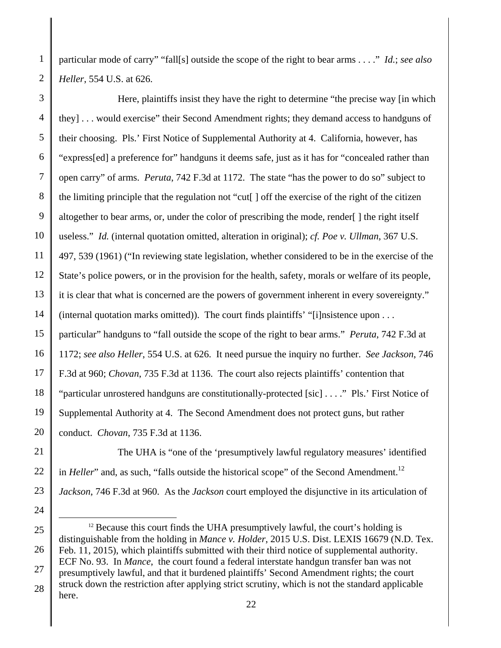1 2 particular mode of carry" "fall[s] outside the scope of the right to bear arms . . . ." *Id.*; *see also Heller*, 554 U.S. at 626.

3 4 5 6 7 8 9 10 11 12 13 14 15 16 17 18 19 20 Here, plaintiffs insist they have the right to determine "the precise way [in which they] . . . would exercise" their Second Amendment rights; they demand access to handguns of their choosing. Pls.' First Notice of Supplemental Authority at 4. California, however, has "express[ed] a preference for" handguns it deems safe, just as it has for "concealed rather than open carry" of arms. *Peruta*, 742 F.3d at 1172. The state "has the power to do so" subject to the limiting principle that the regulation not "cut[ ] off the exercise of the right of the citizen altogether to bear arms, or, under the color of prescribing the mode, render[ ] the right itself useless." *Id.* (internal quotation omitted, alteration in original); *cf. Poe v. Ullman*, 367 U.S. 497, 539 (1961) ("In reviewing state legislation, whether considered to be in the exercise of the State's police powers, or in the provision for the health, safety, morals or welfare of its people, it is clear that what is concerned are the powers of government inherent in every sovereignty." (internal quotation marks omitted)). The court finds plaintiffs' "[i]nsistence upon . . . particular" handguns to "fall outside the scope of the right to bear arms." *Peruta*, 742 F.3d at 1172; *see also Heller*, 554 U.S. at 626. It need pursue the inquiry no further. *See Jackson*, 746 F.3d at 960; *Chovan*, 735 F.3d at 1136. The court also rejects plaintiffs' contention that "particular unrostered handguns are constitutionally-protected [sic] . . . ." Pls.' First Notice of Supplemental Authority at 4. The Second Amendment does not protect guns, but rather conduct. *Chovan*, 735 F.3d at 1136.

The UHA is "one of the 'presumptively lawful regulatory measures' identified in *Heller*" and, as such, "falls outside the historical scope" of the Second Amendment.<sup>12</sup> *Jackson*, 746 F.3d at 960. As the *Jackson* court employed the disjunctive in its articulation of

21

22

23

<sup>25</sup>  26 27 28  $12$  Because this court finds the UHA presumptively lawful, the court's holding is distinguishable from the holding in *Mance v. Holder*, 2015 U.S. Dist. LEXIS 16679 (N.D. Tex. Feb. 11, 2015), which plaintiffs submitted with their third notice of supplemental authority. ECF No. 93. In *Mance*, the court found a federal interstate handgun transfer ban was not presumptively lawful, and that it burdened plaintiffs' Second Amendment rights; the court struck down the restriction after applying strict scrutiny, which is not the standard applicable here.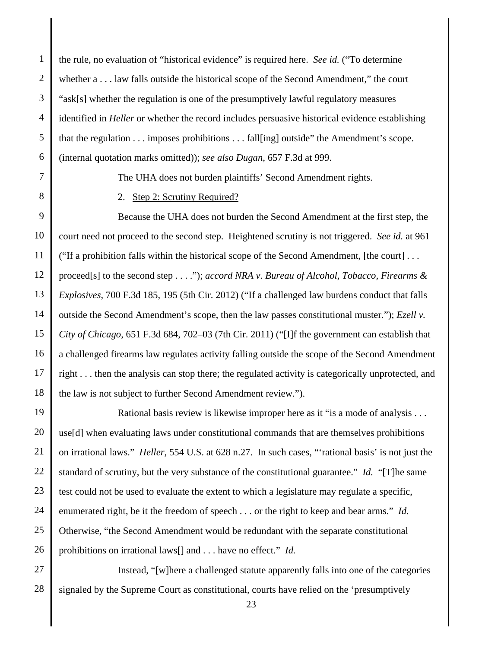1 2 3 4 5 6 the rule, no evaluation of "historical evidence" is required here. *See id.* ("To determine whether a . . . law falls outside the historical scope of the Second Amendment," the court "ask[s] whether the regulation is one of the presumptively lawful regulatory measures identified in *Heller* or whether the record includes persuasive historical evidence establishing that the regulation . . . imposes prohibitions . . . fall[ing] outside" the Amendment's scope. (internal quotation marks omitted)); *see also Dugan*, 657 F.3d at 999.

- 7
- 8

The UHA does not burden plaintiffs' Second Amendment rights.

## 2. Step 2: Scrutiny Required?

9 10 11 12 13 14 15 16 17 18 Because the UHA does not burden the Second Amendment at the first step, the court need not proceed to the second step. Heightened scrutiny is not triggered. *See id.* at 961 ("If a prohibition falls within the historical scope of the Second Amendment, [the court] . . . proceed[s] to the second step . . . ."); *accord NRA v. Bureau of Alcohol, Tobacco, Firearms & Explosives*, 700 F.3d 185, 195 (5th Cir. 2012) ("If a challenged law burdens conduct that falls outside the Second Amendment's scope, then the law passes constitutional muster."); *Ezell v. City of Chicago*, 651 F.3d 684, 702–03 (7th Cir. 2011) ("[I]f the government can establish that a challenged firearms law regulates activity falling outside the scope of the Second Amendment right . . . then the analysis can stop there; the regulated activity is categorically unprotected, and the law is not subject to further Second Amendment review.").

19 20 21 22 23 24 25 26 Rational basis review is likewise improper here as it "is a mode of analysis . . . use[d] when evaluating laws under constitutional commands that are themselves prohibitions on irrational laws." *Heller*, 554 U.S. at 628 n.27. In such cases, "'rational basis' is not just the standard of scrutiny, but the very substance of the constitutional guarantee." *Id.* "[T]he same test could not be used to evaluate the extent to which a legislature may regulate a specific, enumerated right, be it the freedom of speech . . . or the right to keep and bear arms." *Id.* Otherwise, "the Second Amendment would be redundant with the separate constitutional prohibitions on irrational laws[] and . . . have no effect." *Id.*

27 28 Instead, "[w]here a challenged statute apparently falls into one of the categories signaled by the Supreme Court as constitutional, courts have relied on the 'presumptively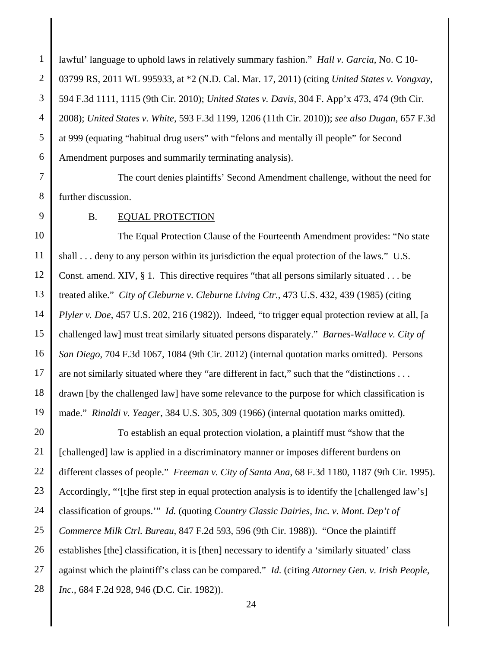1 2 3 4 5 6 lawful' language to uphold laws in relatively summary fashion." *Hall v. Garcia*, No. C 10- 03799 RS, 2011 WL 995933, at \*2 (N.D. Cal. Mar. 17, 2011) (citing *United States v. Vongxay*, 594 F.3d 1111, 1115 (9th Cir. 2010); *United States v. Davis*, 304 F. App'x 473, 474 (9th Cir. 2008); *United States v. White*, 593 F.3d 1199, 1206 (11th Cir. 2010)); *see also Dugan*, 657 F.3d at 999 (equating "habitual drug users" with "felons and mentally ill people" for Second Amendment purposes and summarily terminating analysis).

7

8 The court denies plaintiffs' Second Amendment challenge, without the need for further discussion.

9

B. EQUAL PROTECTION

10 11 12 13 14 15 16 17 18 19 The Equal Protection Clause of the Fourteenth Amendment provides: "No state shall . . . deny to any person within its jurisdiction the equal protection of the laws." U.S. Const. amend. XIV, § 1. This directive requires "that all persons similarly situated . . . be treated alike." *City of Cleburne v. Cleburne Living Ctr.*, 473 U.S. 432, 439 (1985) (citing *Plyler v. Doe*, 457 U.S. 202, 216 (1982)). Indeed, "to trigger equal protection review at all, [a challenged law] must treat similarly situated persons disparately." *Barnes-Wallace v. City of San Diego*, 704 F.3d 1067, 1084 (9th Cir. 2012) (internal quotation marks omitted). Persons are not similarly situated where they "are different in fact," such that the "distinctions . . . drawn [by the challenged law] have some relevance to the purpose for which classification is made." *Rinaldi v. Yeager*, 384 U.S. 305, 309 (1966) (internal quotation marks omitted).

20 21 22 23 24 25 26 27 28 To establish an equal protection violation, a plaintiff must "show that the [challenged] law is applied in a discriminatory manner or imposes different burdens on different classes of people." *Freeman v. City of Santa Ana*, 68 F.3d 1180, 1187 (9th Cir. 1995). Accordingly, "'[t]he first step in equal protection analysis is to identify the [challenged law's] classification of groups.'" *Id.* (quoting *Country Classic Dairies, Inc. v. Mont. Dep't of Commerce Milk Ctrl. Bureau*, 847 F.2d 593, 596 (9th Cir. 1988)). "Once the plaintiff establishes [the] classification, it is [then] necessary to identify a 'similarly situated' class against which the plaintiff's class can be compared." *Id.* (citing *Attorney Gen. v. Irish People, Inc.*, 684 F.2d 928, 946 (D.C. Cir. 1982)).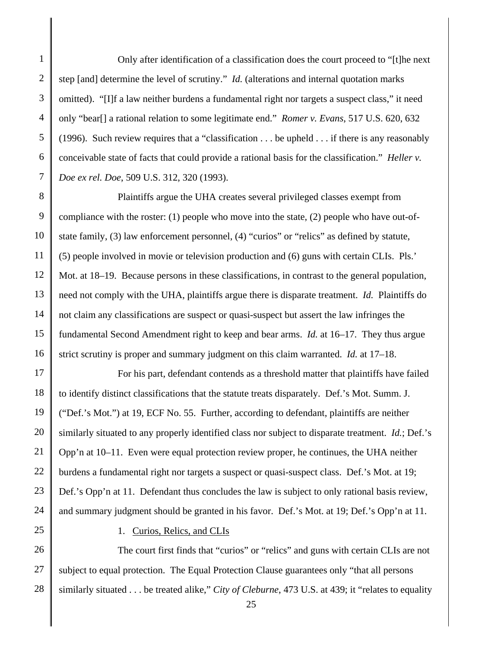1 2 3 4 5 6 7 Only after identification of a classification does the court proceed to "[t]he next step [and] determine the level of scrutiny." *Id.* (alterations and internal quotation marks omitted). "[I]f a law neither burdens a fundamental right nor targets a suspect class," it need only "bear[] a rational relation to some legitimate end." *Romer v. Evans*, 517 U.S. 620, 632 (1996). Such review requires that a "classification . . . be upheld . . . if there is any reasonably conceivable state of facts that could provide a rational basis for the classification." *Heller v. Doe ex rel. Doe*, 509 U.S. 312, 320 (1993).

8 9 10 11 12 13 14 15 16 Plaintiffs argue the UHA creates several privileged classes exempt from compliance with the roster: (1) people who move into the state, (2) people who have out-ofstate family, (3) law enforcement personnel, (4) "curios" or "relics" as defined by statute, (5) people involved in movie or television production and (6) guns with certain CLIs. Pls.' Mot. at 18–19. Because persons in these classifications, in contrast to the general population, need not comply with the UHA, plaintiffs argue there is disparate treatment. *Id.* Plaintiffs do not claim any classifications are suspect or quasi-suspect but assert the law infringes the fundamental Second Amendment right to keep and bear arms. *Id.* at 16–17. They thus argue strict scrutiny is proper and summary judgment on this claim warranted. *Id.* at 17–18.

17 18 19 20 21 22 23 24 For his part, defendant contends as a threshold matter that plaintiffs have failed to identify distinct classifications that the statute treats disparately. Def.'s Mot. Summ. J. ("Def.'s Mot.") at 19, ECF No. 55. Further, according to defendant, plaintiffs are neither similarly situated to any properly identified class nor subject to disparate treatment. *Id.*; Def.'s Opp'n at 10–11. Even were equal protection review proper, he continues, the UHA neither burdens a fundamental right nor targets a suspect or quasi-suspect class. Def.'s Mot. at 19; Def.'s Opp'n at 11. Defendant thus concludes the law is subject to only rational basis review, and summary judgment should be granted in his favor. Def.'s Mot. at 19; Def.'s Opp'n at 11.

25

#### 1. Curios, Relics, and CLIs

26 27 28 The court first finds that "curios" or "relics" and guns with certain CLIs are not subject to equal protection. The Equal Protection Clause guarantees only "that all persons similarly situated . . . be treated alike," *City of Cleburne*, 473 U.S. at 439; it "relates to equality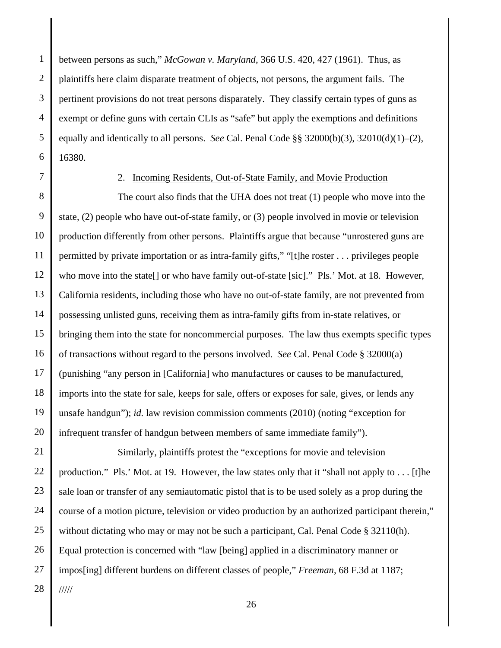1 2 3 4 5 6 between persons as such," *McGowan v. Maryland*, 366 U.S. 420, 427 (1961). Thus, as plaintiffs here claim disparate treatment of objects, not persons, the argument fails. The pertinent provisions do not treat persons disparately. They classify certain types of guns as exempt or define guns with certain CLIs as "safe" but apply the exemptions and definitions equally and identically to all persons. *See* Cal. Penal Code §§ 32000(b)(3), 32010(d)(1)–(2), 16380.

7

#### 2. Incoming Residents, Out-of-State Family, and Movie Production

8 9 10 11 12 13 14 15 16 17 18 19 20 The court also finds that the UHA does not treat (1) people who move into the state, (2) people who have out-of-state family, or (3) people involved in movie or television production differently from other persons. Plaintiffs argue that because "unrostered guns are permitted by private importation or as intra-family gifts," "[t]he roster . . . privileges people who move into the state[] or who have family out-of-state [sic]." Pls.' Mot. at 18. However, California residents, including those who have no out-of-state family, are not prevented from possessing unlisted guns, receiving them as intra-family gifts from in-state relatives, or bringing them into the state for noncommercial purposes. The law thus exempts specific types of transactions without regard to the persons involved. *See* Cal. Penal Code § 32000(a) (punishing "any person in [California] who manufactures or causes to be manufactured, imports into the state for sale, keeps for sale, offers or exposes for sale, gives, or lends any unsafe handgun"); *id.* law revision commission comments (2010) (noting "exception for infrequent transfer of handgun between members of same immediate family").

21 22 23 24 25 26 27 28 Similarly, plaintiffs protest the "exceptions for movie and television production." Pls.' Mot. at 19. However, the law states only that it "shall not apply to . . . [t]he sale loan or transfer of any semiautomatic pistol that is to be used solely as a prop during the course of a motion picture, television or video production by an authorized participant therein," without dictating who may or may not be such a participant, Cal. Penal Code § 32110(h). Equal protection is concerned with "law [being] applied in a discriminatory manner or impos[ing] different burdens on different classes of people," *Freeman*, 68 F.3d at 1187; /////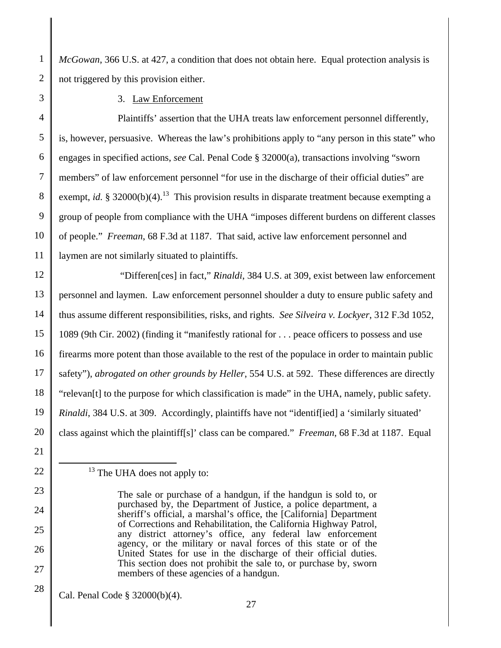*McGowan*, 366 U.S. at 427, a condition that does not obtain here. Equal protection analysis is not triggered by this provision either.

3 10 11

21

22

23

24

25

26

27

28

1

2

3. Law Enforcement

4 5 6 7 8 9 Plaintiffs' assertion that the UHA treats law enforcement personnel differently, is, however, persuasive. Whereas the law's prohibitions apply to "any person in this state" who engages in specified actions, *see* Cal. Penal Code § 32000(a), transactions involving "sworn members" of law enforcement personnel "for use in the discharge of their official duties" are exempt, *id.*  $\S 32000(b)(4)$ <sup>13</sup>. This provision results in disparate treatment because exempting a group of people from compliance with the UHA "imposes different burdens on different classes of people." *Freeman*, 68 F.3d at 1187. That said, active law enforcement personnel and laymen are not similarly situated to plaintiffs.

12 13 14 15 16 17 18 19 20 "Differen[ces] in fact," *Rinaldi*, 384 U.S. at 309, exist between law enforcement personnel and laymen. Law enforcement personnel shoulder a duty to ensure public safety and thus assume different responsibilities, risks, and rights. *See Silveira v. Lockyer*, 312 F.3d 1052, 1089 (9th Cir. 2002) (finding it "manifestly rational for . . . peace officers to possess and use firearms more potent than those available to the rest of the populace in order to maintain public safety"), *abrogated on other grounds by Heller*, 554 U.S. at 592. These differences are directly "relevan[t] to the purpose for which classification is made" in the UHA, namely, public safety. *Rinaldi*, 384 U.S. at 309. Accordingly, plaintiffs have not "identif[ied] a 'similarly situated' class against which the plaintiff[s]' class can be compared." *Freeman*, 68 F.3d at 1187. Equal

 $13$  The UHA does not apply to:

Cal. Penal Code § 32000(b)(4).

The sale or purchase of a handgun, if the handgun is sold to, or purchased by, the Department of Justice, a police department, a sheriff's official, a marshal's office, the [California] Department of Corrections and Rehabilitation, the California Highway Patrol, any district attorney's office, any federal law enforcement agency, or the military or naval forces of this state or of the United States for use in the discharge of their official duties. This section does not prohibit the sale to, or purchase by, sworn members of these agencies of a handgun.